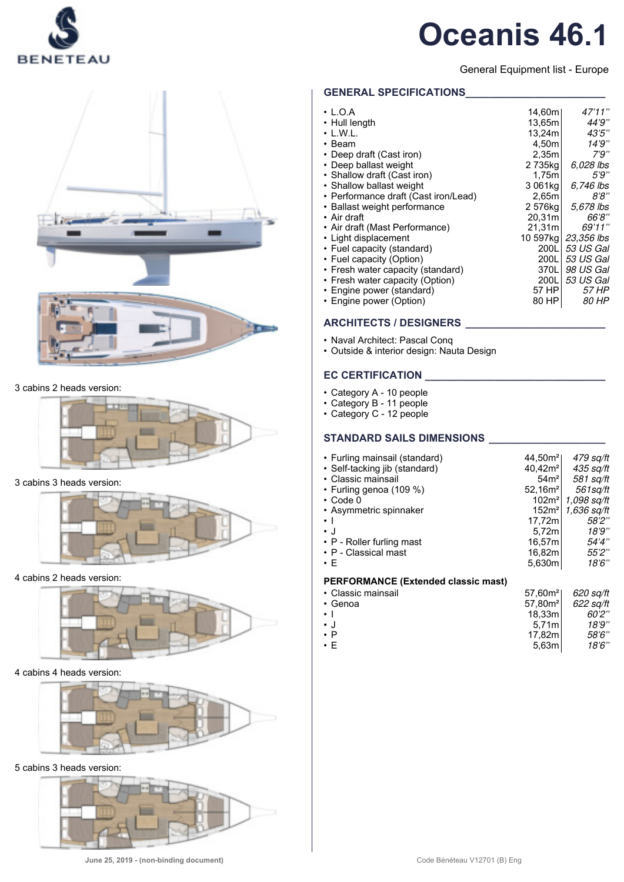

General Equipment list - Europe

### 3 cabins 2 heads version:



## 3 cabins 3 heads version:



#### 4 cabins 2 heads version:



#### 4 cabins 4 heads version:



5 cabins 3 heads version:



## **GENERAL SPECIFICATIONS\_\_\_\_\_\_\_\_\_\_\_\_\_\_\_\_\_\_\_\_\_\_\_\_**

| $\cdot$ L.O.A                        | 14,60m    | 47'11''      |
|--------------------------------------|-----------|--------------|
| • Hull length                        | 13.65m    | 44'9''       |
| $\cdot$ L.W.L.                       | 13,24m    | 43'5''       |
| • Beam                               | 4,50m     | 14'9''       |
| • Deep draft (Cast iron)             | 2,35m     | 7'9''        |
| • Deep ballast weight                | 2735kg    | 6.028 lbs    |
| • Shallow draft (Cast iron)          | 1,75m     | 5'9''        |
| • Shallow ballast weight             | 3 061kg   | 6,746 lbs    |
| • Performance draft (Cast iron/Lead) | 2,65m     | 8'8''        |
| • Ballast weight performance         | 2 576kg   | 5,678 lbs    |
| • Air draft                          | 20.31m    | 66'8''       |
| • Air draft (Mast Performance)       | 21,31m    | 69'11''      |
| • Light displacement                 | 10 597kal | 23,356 lbs   |
| • Fuel capacity (standard)           | 200LI     | 53 US Gal    |
| • Fuel capacity (Option)             | 200LI     | 53 US Gal    |
| • Fresh water capacity (standard)    | 370LI     | 98 US Gal    |
| • Fresh water capacity (Option)      | 200L      | 53 US Gal    |
| • Engine power (standard)            | 57 HP     | 57 HP        |
| • Engine power (Option)              | 80 HP     | <i>80 HP</i> |
|                                      |           |              |

## **ARCHITECTS / DESIGNERS \_\_\_\_\_\_\_\_\_\_\_\_\_\_\_\_\_\_\_\_\_\_\_\_**

- Naval Architect: Pascal Conq
- Outside & interior design: Nauta Design

## **EC CERTIFICATION**

- Category A 10 people
- Category B 11 people
- Category C 12 people

## **STANDARD SAILS DIMENSIONS \_\_\_\_\_\_\_\_\_\_\_\_\_\_\_\_\_\_\_\_**

| • Furling mainsail (standard)              | 44,50m <sup>2</sup> | 479 sq/ft   |
|--------------------------------------------|---------------------|-------------|
| • Self-tacking jib (standard)              | 40,42m <sup>2</sup> | 435 sq/ft   |
| • Classic mainsail                         | 54 <sup>2</sup>     | 581 sq/ft   |
| • Furling genoa (109 %)                    | 52,16m <sup>2</sup> | 561sa/ft    |
| $\cdot$ Code 0                             | 102 <sup>2</sup>    | 1.098 sa/ft |
| • Asymmetric spinnaker                     | 152m <sup>2</sup>   | 1,636 sq/ft |
| $\bullet$ 1                                | 17,72m              | 58'2''      |
| $\cdot$ J                                  | 5.72m               | 18'9''      |
| • P - Roller furling mast                  | 16,57m              | 54'4"       |
| • P - Classical mast                       | 16,82ml             | 55'2''      |
| $\cdot$ F                                  | 5,630m              | 18'6''      |
| <b>PERFORMANCE (Extended classic mast)</b> |                     |             |
| • Classic mainsail                         | 57,60m <sup>2</sup> | 620 sq/ft   |
| $.$ Canos                                  | 57.80m <sup>2</sup> | $622$ calft |

| • Classic mainsail | 57.60 <sup>2</sup>  | 620 sq/ft |
|--------------------|---------------------|-----------|
| • Genoa            | 57.80m <sup>2</sup> | 622 sq/ft |
| $\cdot$ 1          | 18.33m              | 60'2''    |
| $\cdot$ .          | 5.71 <sub>m</sub>   | 18'9"     |
| $\cdot$ P          | 17.82ml             | 58'6"     |
| $\cdot$ F          | 5.63ml              | 18'6''    |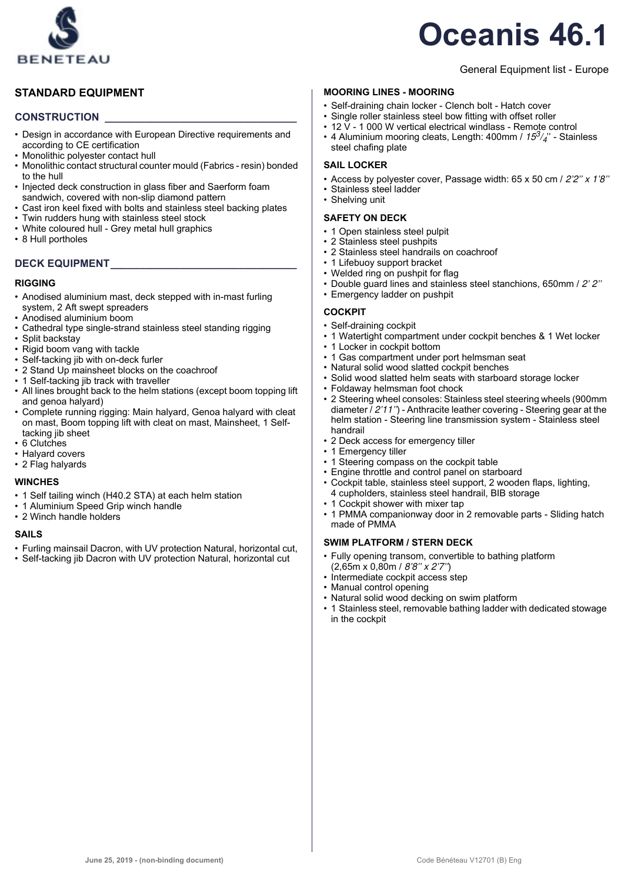

## **STANDARD EQUIPMENT**

### **CONSTRUCTION \_\_\_\_\_\_\_\_\_\_\_\_\_\_\_\_\_\_\_\_\_\_\_\_\_\_\_\_\_\_\_\_\_**

- Design in accordance with European Directive requirements and according to CE certification
- Monolithic polyester contact hull
- Monolithic contact structural counter mould (Fabrics resin) bonded to the hull
- Injected deck construction in glass fiber and Saerform foam sandwich, covered with non-slip diamond pattern
- Cast iron keel fixed with bolts and stainless steel backing plates
- Twin rudders hung with stainless steel stock
- White coloured hull Grey metal hull graphics
- 8 Hull portholes

## **DECK EQUIPMENT\_\_\_\_\_\_\_\_\_\_\_\_\_\_\_\_\_\_\_\_\_\_\_\_\_\_\_\_\_\_\_\_**

#### **RIGGING**

- Anodised aluminium mast, deck stepped with in-mast furling system, 2 Aft swept spreaders
- Anodised aluminium boom
- Cathedral type single-strand stainless steel standing rigging
- Split backstay
- Rigid boom vang with tackle
- Self-tacking jib with on-deck furler
- 2 Stand Up mainsheet blocks on the coachroof
- 1 Self-tacking jib track with traveller
- All lines brought back to the helm stations (except boom topping lift and genoa halyard)
- Complete running rigging: Main halyard, Genoa halyard with cleat on mast, Boom topping lift with cleat on mast, Mainsheet, 1 Selftacking jib sheet
- 6 Clutches
- Halyard covers
- 2 Flag halyards

#### **WINCHES**

- 1 Self tailing winch (H40.2 STA) at each helm station
- 1 Aluminium Speed Grip winch handle
- 2 Winch handle holders

#### **SAILS**

- Furling mainsail Dacron, with UV protection Natural, horizontal cut,
- Self-tacking jib Dacron with UV protection Natural, horizontal cut

#### General Equipment list - Europe

#### **MOORING LINES - MOORING**

- Self-draining chain locker Clench bolt Hatch cover
- Single roller stainless steel bow fitting with offset roller
- 12  $\bar{V}$  1 000 W vertical electrical windlass Remote control
- 4 Aluminium mooring cleats, Length: 400mm /  $15^3/4$ " Stainless steel chafing plate

### **SAIL LOCKER**

- Access by polyester cover, Passage width:  $65 \times 50$  cm  $/$  2'2"  $\times$  1'8"
- Stainless steel ladder
- Shelving unit

#### **SAFETY ON DECK**

- 1 Open stainless steel pulpit
- 2 Stainless steel pushpits
- 2 Stainless steel handrails on coachroof
- 1 Lifebuoy support bracket
- Welded ring on pushpit for flag • Double guard lines and stainless steel stanchions, 650mm / 2' 2''
- Emergency ladder on pushpit

#### **COCKPIT**

- Self-draining cockpit
- 1 Watertight compartment under cockpit benches & 1 Wet locker
- 1 Locker in cockpit bottom
- 1 Gas compartment under port helmsman seat
- Natural solid wood slatted cockpit benches
- Solid wood slatted helm seats with starboard storage locker
- Foldaway helmsman foot chock
- 2 Steering wheel consoles: Stainless steel steering wheels (900mm diameter  $12'11'$ ) - Anthracite leather covering - Steering gear at the helm station - Steering line transmission system - Stainless steel handrail
- 2 Deck access for emergency tiller
- 1 Emergency tiller
- 1 Steering compass on the cockpit table
- Engine throttle and control panel on starboard
- Cockpit table, stainless steel support, 2 wooden flaps, lighting, 4 cupholders, stainless steel handrail, BIB storage
- 1 Cockpit shower with mixer tap
- 1 PMMA companionway door in 2 removable parts Sliding hatch made of PMMA

#### **SWIM PLATFORM / STERN DECK**

- Fully opening transom, convertible to bathing platform (2,65m x 0,80m / 8'8'' x 2'7'')
- Intermediate cockpit access step
- Manual control opening
- Natural solid wood decking on swim platform
- 1 Stainless steel, removable bathing ladder with dedicated stowage in the cockpit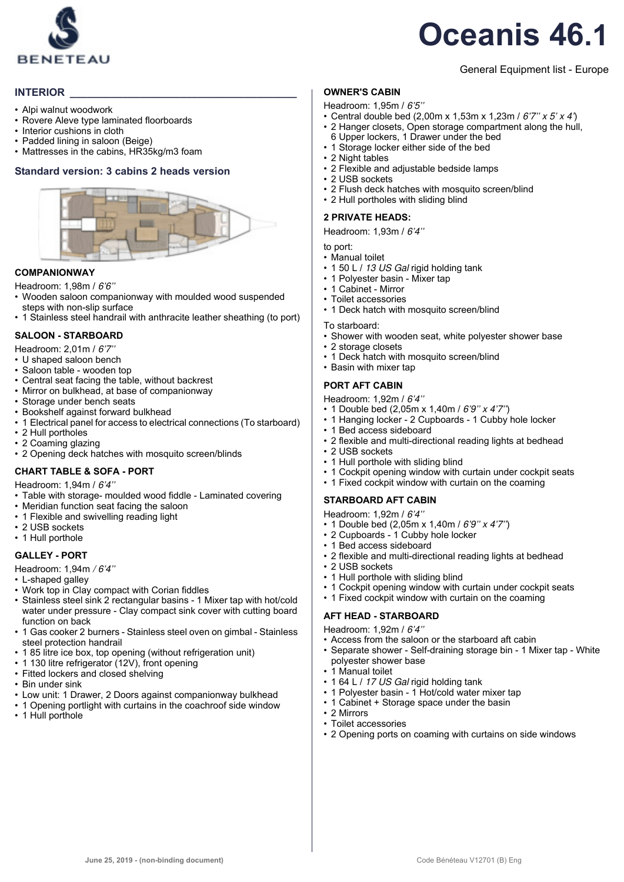

## General Equipment list - Europe

## **INTERIOR**

- Alpi walnut woodwork
- Rovere Aleve type laminated floorboards
- Interior cushions in cloth
- Padded lining in saloon (Beige)
- Mattresses in the cabins, HR35kg/m3 foam

## **Standard version: 3 cabins 2 heads version**



#### **COMPANIONWAY**

Headroom: 1,98m / 6'6''

- Wooden saloon companionway with moulded wood suspended steps with non-slip surface
- 1 Stainless steel handrail with anthracite leather sheathing (to port)

### **SALOON - STARBOARD**

Headroom: 2,01m / 6'7''

- U shaped saloon bench
- Saloon table wooden top
- Central seat facing the table, without backrest
- Mirror on bulkhead, at base of companionway
- Storage under bench seats
- Bookshelf against forward bulkhead
- 1 Electrical panel for access to electrical connections (To starboard)
- 2 Hull portholes
- 2 Coaming glazing
- 2 Opening deck hatches with mosquito screen/blinds

## **CHART TABLE & SOFA - PORT**

Headroom: 1,94m / 6'4''

- Table with storage- moulded wood fiddle Laminated covering
- Meridian function seat facing the saloon
- 1 Flexible and swivelling reading light
- 2 USB sockets
- 1 Hull porthole

#### **GALLEY - PORT**

- Headroom: 1,94m / 6'4''
- L-shaped galley
- Work top in Clay compact with Corian fiddles
- Stainless steel sink 2 rectangular basins 1 Mixer tap with hot/cold water under pressure - Clay compact sink cover with cutting board function on back
- 1 Gas cooker 2 burners Stainless steel oven on gimbal Stainless steel protection handrail
- 1 85 litre ice box, top opening (without refrigeration unit)
- 1 130 litre refrigerator (12V), front opening
- Fitted lockers and closed shelving
- Bin under sink
- Low unit: 1 Drawer, 2 Doors against companionway bulkhead
- 1 Opening portlight with curtains in the coachroof side window
- 1 Hull porthole

### **OWNER'S CABIN**

- Headroom: 1,95m / 6'5''
- Central double bed (2,00m x 1,53m x 1,23m /  $6'7''$  x 5' x 4') • 2 Hanger closets, Open storage compartment along the hull.
- 6 Upper lockers, 1 Drawer under the bed
- 1 Storage locker either side of the bed
- 2 Night tables
- 2 Flexible and adjustable bedside lamps
- 2 USB sockets
- 2 Flush deck hatches with mosquito screen/blind
- 2 Hull portholes with sliding blind

#### **2 PRIVATE HEADS:**

Headroom: 1,93m / 6'4''

to port:

- Manual toilet
- 1 50 L / 13 US Gal rigid holding tank
- 1 Polyester basin Mixer tap
- 1 Cabinet Mirror
- Toilet accessories
- 1 Deck hatch with mosquito screen/blind
- To starboard:
- Shower with wooden seat, white polyester shower base
- 2 storage closets
- 1 Deck hatch with mosquito screen/blind
- Basin with mixer tap

#### **PORT AFT CABIN**

- Headroom: 1,92m / 6'4''
- 1 Double bed (2,05m x 1,40m / 6'9'' x 4'7'')
- 1 Hanging locker 2 Cupboards 1 Cubby hole locker
- 1 Bed access sideboard
- 2 flexible and multi-directional reading lights at bedhead
- 2 USB sockets
- 1 Hull porthole with sliding blind
- 1 Cockpit opening window with curtain under cockpit seats
- 1 Fixed cockpit window with curtain on the coaming

## **STARBOARD AFT CABIN**

Headroom: 1,92m / 6'4''

- 1 Double bed (2,05m x 1,40m / 6'9'' x 4'7'')
- 2 Cupboards 1 Cubby hole locker
- 1 Bed access sideboard
- 2 flexible and multi-directional reading lights at bedhead
- 2 USB sockets
- 1 Hull porthole with sliding blind
- 1 Cockpit opening window with curtain under cockpit seats
- 1 Fixed cockpit window with curtain on the coaming

## **AFT HEAD - STARBOARD**

Headroom: 1,92m / 6'4''

- Access from the saloon or the starboard aft cabin<br>• Senarate shower Self-draining storage bin 1 Min
- Separate shower Self-draining storage bin 1 Mixer tap White polyester shower base

• 2 Opening ports on coaming with curtains on side windows

- 1 Manual toilet
- 1 64 L / 17 US Gal rigid holding tank
- 1 Polyester basin 1 Hot/cold water mixer tap
- 1 Cabinet + Storage space under the basin
- 2 Mirrors • Toilet accessories

**June 25, 2019 - (non-binding document)** Code Bénéteau V12701 (B) Eng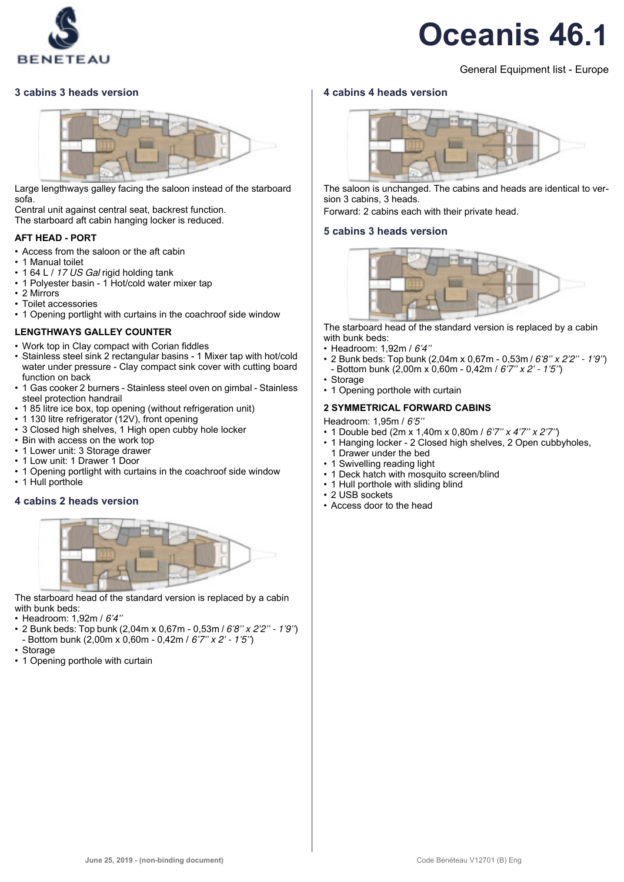

### General Equipment list - Europe

#### **3 cabins 3 heads version**



Large lengthways galley facing the saloon instead of the starboard sofa.

Central unit against central seat, backrest function. The starboard aft cabin hanging locker is reduced.

#### **AFT HEAD - PORT**

- Access from the saloon or the aft cabin
- 1 Manual toilet
- 1 64 L / 17 US Gal rigid holding tank
- 1 Polyester basin 1 Hot/cold water mixer tap
- 2 Mirrors
- Toilet accessories
- 1 Opening portlight with curtains in the coachroof side window

#### **LENGTHWAYS GALLEY COUNTER**

- Work top in Clay compact with Corian fiddles
- Stainless steel sink 2 rectangular basins 1 Mixer tap with hot/cold water under pressure - Clay compact sink cover with cutting board function on back
- 1 Gas cooker 2 burners Stainless steel oven on gimbal Stainless steel protection handrail
- 1 85 litre ice box, top opening (without refrigeration unit)
- 1 130 litre refrigerator (12V), front opening
- 3 Closed high shelves, 1 High open cubby hole locker
- Bin with access on the work top
- 1 Lower unit: 3 Storage drawer
- 1 Low unit: 1 Drawer 1 Door
- 1 Opening portlight with curtains in the coachroof side window
- 1 Hull porthole

#### **4 cabins 2 heads version**



The starboard head of the standard version is replaced by a cabin with bunk beds:

- Headroom: 1,92m / 6'4''
- 2 Bunk beds: Top bunk (2,04m x 0,67m 0,53m / 6'8'' x 2'2'' 1'9'') Bottom bunk (2,00m x 0,60m - 0,42m / 6'7" x 2' - 1'5")
- Storage
- 1 Opening porthole with curtain

#### **4 cabins 4 heads version**



The saloon is unchanged. The cabins and heads are identical to version 3 cabins, 3 heads.

Forward: 2 cabins each with their private head.

#### **5 cabins 3 heads version**



The starboard head of the standard version is replaced by a cabin with bunk beds:

- Headroom: 1,92m / 6'4''
- 2 Bunk beds: Top bunk (2,04m x 0,67m 0,53m / 6'8'' x 2'2'' 1'9'') Bottom bunk (2,00m x 0,60m - 0,42m / 6'7" x 2' - 1'5")
- Storage
- 1 Opening porthole with curtain

#### **2 SYMMETRICAL FORWARD CABINS**

Headroom: 1,95m / 6'5''

- 1 Double bed (2m x 1,40m x 0,80m / 6'7'' x 4'7'' x 2'7'')
- 1 Hanging locker 2 Closed high shelves, 2 Open cubbyholes, 1 Drawer under the bed
- 1 Swivelling reading light
- 1 Deck hatch with mosquito screen/blind
- 1 Hull porthole with sliding blind
- 2 USB sockets
- Access door to the head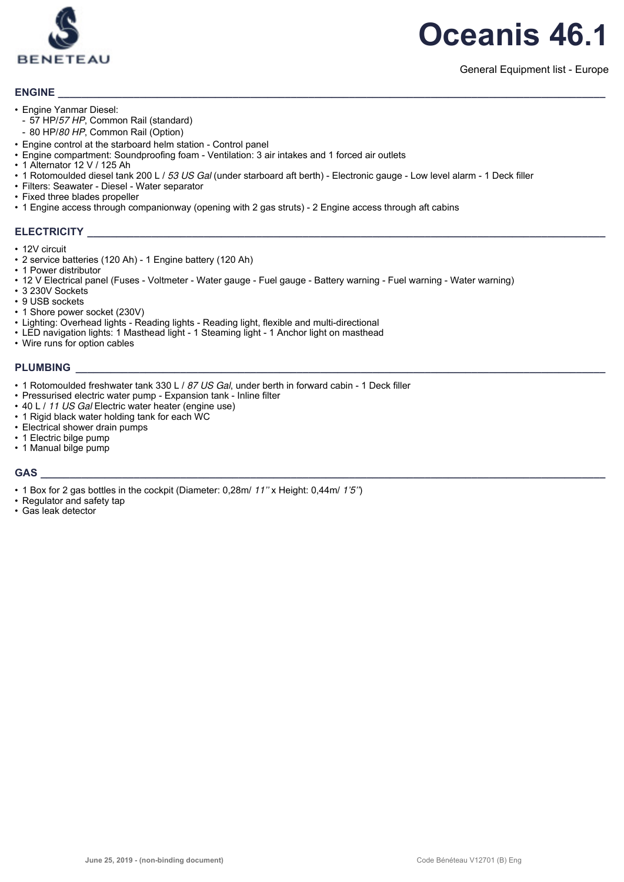

## **ENGINE \_\_\_\_\_\_\_\_\_\_\_\_\_\_\_\_\_\_\_\_\_\_\_\_\_\_\_\_\_\_\_\_\_\_\_\_\_\_\_\_\_\_\_\_\_\_\_\_\_\_\_\_\_\_\_\_\_\_\_\_\_\_\_\_\_\_\_\_\_\_\_\_\_\_\_\_\_\_\_\_\_\_\_\_\_\_\_\_\_\_\_\_\_\_**

- Engine Yanmar Diesel:
- 57 HP/57 HP, Common Rail (standard)
- 80 HP/80 HP, Common Rail (Option)
- Engine control at the starboard helm station Control panel
- Engine compartment: Soundproofing foam Ventilation: 3 air intakes and 1 forced air outlets
- 1 Alternator 12 V / 125 Ah
- 1 Rotomoulded diesel tank 200 L / 53 US Gal (under starboard aft berth) Electronic gauge Low level alarm 1 Deck filler
- Filters: Seawater Diesel Water separator
- Fixed three blades propeller
- 1 Engine access through companionway (opening with 2 gas struts) 2 Engine access through aft cabins

#### **ELECTRICITY**

- 12V circuit
- 2 service batteries (120 Ah) 1 Engine battery (120 Ah)
- 1 Power distributor
- 12 V Electrical panel (Fuses Voltmeter Water gauge Fuel gauge Battery warning Fuel warning Water warning)
- 3 230V Sockets
- 9 USB sockets
- 1 Shore power socket (230V)
- Lighting: Overhead lights Reading lights Reading light, flexible and multi-directional
- LED navigation lights: 1 Masthead light 1 Steaming light 1 Anchor light on masthead
- Wire runs for option cables

#### **PLUMBING \_\_\_\_\_\_\_\_\_\_\_\_\_\_\_\_\_\_\_\_\_\_\_\_\_\_\_\_\_\_\_\_\_\_\_\_\_\_\_\_\_\_\_\_\_\_\_\_\_\_\_\_\_\_\_\_\_\_\_\_\_\_\_\_\_\_\_\_\_\_\_\_\_\_\_\_\_\_\_\_\_\_\_\_\_\_\_\_\_\_\_**

- 1 Rotomoulded freshwater tank 330 L / 87 US Gal, under berth in forward cabin 1 Deck filler
- Pressurised electric water pump Expansion tank Inline filter
- 40 L / 11 US Gal Electric water heater (engine use)
- 1 Rigid black water holding tank for each WC
- Electrical shower drain pumps
- 1 Electric bilge pump
- 1 Manual bilge pump

#### **GAS \_\_\_\_\_\_\_\_\_\_\_\_\_\_\_\_\_\_\_\_\_\_\_\_\_\_\_\_\_\_\_\_\_\_\_\_\_\_\_\_\_\_\_\_\_\_\_\_\_\_\_\_\_\_\_\_\_\_\_\_\_\_\_\_\_\_\_\_\_\_\_\_\_\_\_\_\_\_\_\_\_\_\_\_\_\_\_\_\_\_\_\_\_\_\_\_\_**

- 1 Box for 2 gas bottles in the cockpit (Diameter: 0.28m/ 11" x Height: 0.44m/ 1'5")
- Regulator and safety tap
- Gas leak detector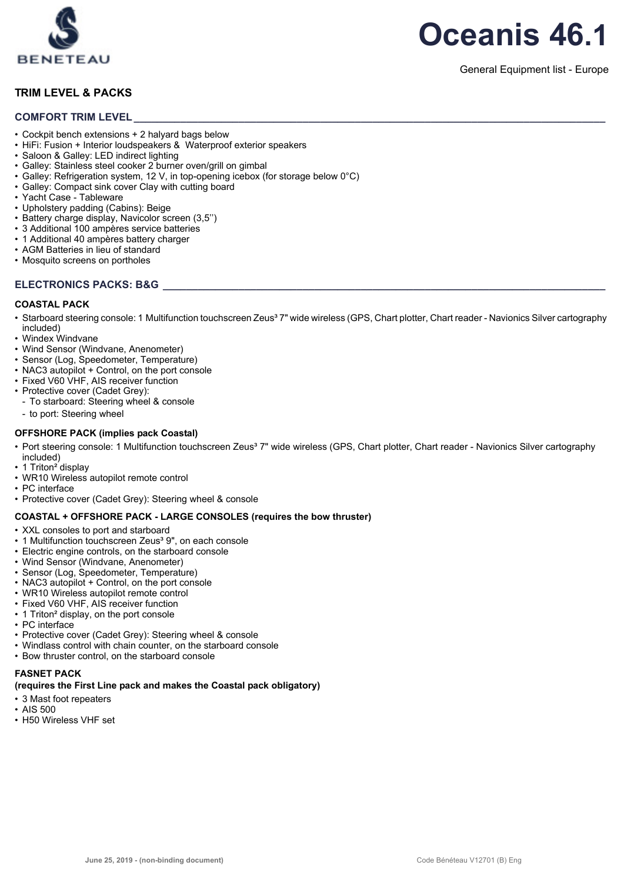

## **TRIM LEVEL & PACKS**

#### **COMFORT TRIM LEVEL**

- Cockpit bench extensions + 2 halyard bags below
- HiFi: Fusion + Interior loudspeakers & Waterproof exterior speakers
- Saloon & Galley: LED indirect lighting
- Galley: Stainless steel cooker 2 burner oven/grill on gimbal
- Galley: Refrigeration system, 12 V, in top-opening icebox (for storage below 0°C)
- Galley: Compact sink cover Clay with cutting board
- Yacht Case Tableware
- Upholstery padding (Cabins): Beige
- Battery charge display, Navicolor screen (3,5'')
- 3 Additional 100 ampères service batteries
- 1 Additional 40 ampères battery charger
- AGM Batteries in lieu of standard
- Mosquito screens on portholes

### **ELECTRONICS PACKS: B&G \_\_\_\_\_\_\_\_\_\_\_\_\_\_\_\_\_\_\_\_\_\_\_\_\_\_\_\_\_\_\_\_\_\_\_\_\_\_\_\_\_\_\_\_\_\_\_\_\_\_\_\_\_\_\_\_\_\_\_\_\_\_\_\_\_\_\_\_\_\_\_\_\_\_\_\_**

#### **COASTAL PACK**

- Starboard steering console: 1 Multifunction touchscreen Zeus<sup>3</sup> 7" wide wireless (GPS, Chart plotter, Chart reader Navionics Silver cartography included)
- Windex Windvane
- Wind Sensor (Windvane, Anenometer)
- Sensor (Log, Speedometer, Temperature)
- NAC3 autopilot + Control, on the port console
- Fixed V60 VHF, AIS receiver function
- Protective cover (Cadet Grey):
	- To starboard: Steering wheel & console
	- to port: Steering wheel

#### **OFFSHORE PACK (implies pack Coastal)**

- Port steering console: 1 Multifunction touchscreen Zeus<sup>3</sup> 7" wide wireless (GPS, Chart plotter, Chart reader Navionics Silver cartography included)
- 1 Triton<sup>2</sup> display
- WR10 Wireless autopilot remote control
- PC interface
- Protective cover (Cadet Grey): Steering wheel & console

#### **COASTAL + OFFSHORE PACK - LARGE CONSOLES (requires the bow thruster)**

- XXL consoles to port and starboard
- 1 Multifunction touchscreen Zeus<sup>3</sup> 9", on each console
- Electric engine controls, on the starboard console
- Wind Sensor (Windvane, Anenometer)
- Sensor (Log, Speedometer, Temperature)
- NAC3 autopilot + Control, on the port console
- WR10 Wireless autopilot remote control
- Fixed V60 VHF, AIS receiver function
- 1 Triton² display, on the port console
- PC interface
- Protective cover (Cadet Grey): Steering wheel & console
- Windlass control with chain counter, on the starboard console
- Bow thruster control, on the starboard console

## **FASNET PACK**

## **(requires the First Line pack and makes the Coastal pack obligatory)**

- 3 Mast foot repeaters
- AIS 500
- H50 Wireless VHF set



#### General Equipment list - Europe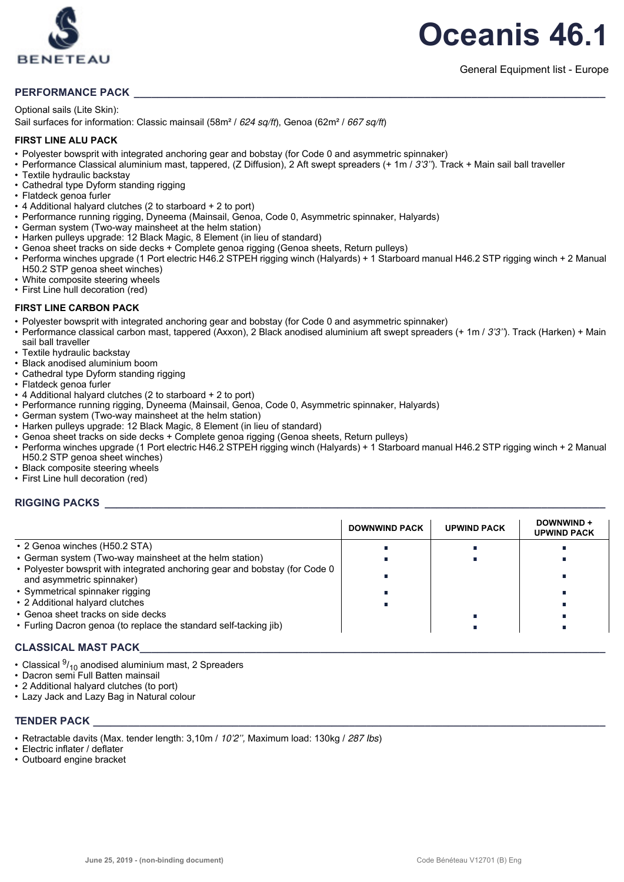

## PERFORMANCE PACK

#### Optional sails (Lite Skin):

Sail surfaces for information: Classic mainsail (58m<sup>2</sup> / 624 sq/ft), Genoa (62m<sup>2</sup> / 667 sq/ft)

#### **FIRST LINE ALU PACK**

- Polyester bowsprit with integrated anchoring gear and bobstay (for Code 0 and asymmetric spinnaker)
- Performance Classical aluminium mast, tappered, (Z Diffusion), 2 Aft swept spreaders (+ 1m / 3'3''). Track + Main sail ball traveller
- Textile hydraulic backstay
- Cathedral type Dyform standing rigging
- Flatdeck genoa furler
- 4 Additional halyard clutches (2 to starboard + 2 to port)
- Performance running rigging, Dyneema (Mainsail, Genoa, Code 0, Asymmetric spinnaker, Halyards)
- German system (Two-way mainsheet at the helm station)
- Harken pulleys upgrade: 12 Black Magic, 8 Element (in lieu of standard)
- Genoa sheet tracks on side decks + Complete genoa rigging (Genoa sheets, Return pulleys)
- Performa winches upgrade (1 Port electric H46.2 STPEH rigging winch (Halyards) + 1 Starboard manual H46.2 STP rigging winch + 2 Manual H50.2 STP genoa sheet winches)
- White composite steering wheels
- First Line hull decoration (red)

#### **FIRST LINE CARBON PACK**

- Polyester bowsprit with integrated anchoring gear and bobstay (for Code 0 and asymmetric spinnaker)
- Performance classical carbon mast, tappered (Axxon), 2 Black anodised aluminium aft swept spreaders (+ 1m / 3'3''). Track (Harken) + Main sail ball traveller
- Textile hydraulic backstay
- Black anodised aluminium boom
- Cathedral type Dyform standing rigging
- Flatdeck genoa furler
- 4 Additional halyard clutches (2 to starboard + 2 to port)
- Performance running rigging, Dyneema (Mainsail, Genoa, Code 0, Asymmetric spinnaker, Halyards)
- German system (Two-way mainsheet at the helm station)
- Harken pulleys upgrade: 12 Black Magic, 8 Element (in lieu of standard)
- Genoa sheet tracks on side decks + Complete genoa rigging (Genoa sheets, Return pulleys)
- Performa winches upgrade (1 Port electric H46.2 STPEH rigging winch (Halyards) + 1 Starboard manual H46.2 STP rigging winch + 2 Manual H50.2 STP genoa sheet winches)
- Black composite steering wheels
- First Line hull decoration (red)

#### $RIGGING$  PACKS

|                                                                                                           | <b>DOWNWIND PACK</b> | <b>UPWIND PACK</b> | DOWNWIND +<br><b>UPWIND PACK</b> |
|-----------------------------------------------------------------------------------------------------------|----------------------|--------------------|----------------------------------|
| • 2 Genoa winches (H50.2 STA)                                                                             |                      |                    |                                  |
| • German system (Two-way mainsheet at the helm station)                                                   |                      |                    |                                  |
| • Polyester bowsprit with integrated anchoring gear and bobstay (for Code 0)<br>and asymmetric spinnaker) |                      |                    |                                  |
| • Symmetrical spinnaker rigging                                                                           |                      |                    |                                  |
| • 2 Additional halyard clutches                                                                           |                      |                    |                                  |
| • Genoa sheet tracks on side decks                                                                        |                      |                    |                                  |
| • Furling Dacron genoa (to replace the standard self-tacking jib)                                         |                      |                    |                                  |

#### CLASSICAL MAST PACK

- Classical  $\frac{9}{10}$  anodised aluminium mast, 2 Spreaders
- Dacron semi Full Batten mainsail
- 2 Additional halyard clutches (to port)
- Lazy Jack and Lazy Bag in Natural colour

#### **TENDER PACK**

- Retractable davits (Max. tender length: 3,10m / 10'2'', Maximum load: 130kg / 287 Ibs)
- Electric inflater / deflater
- Outboard engine bracket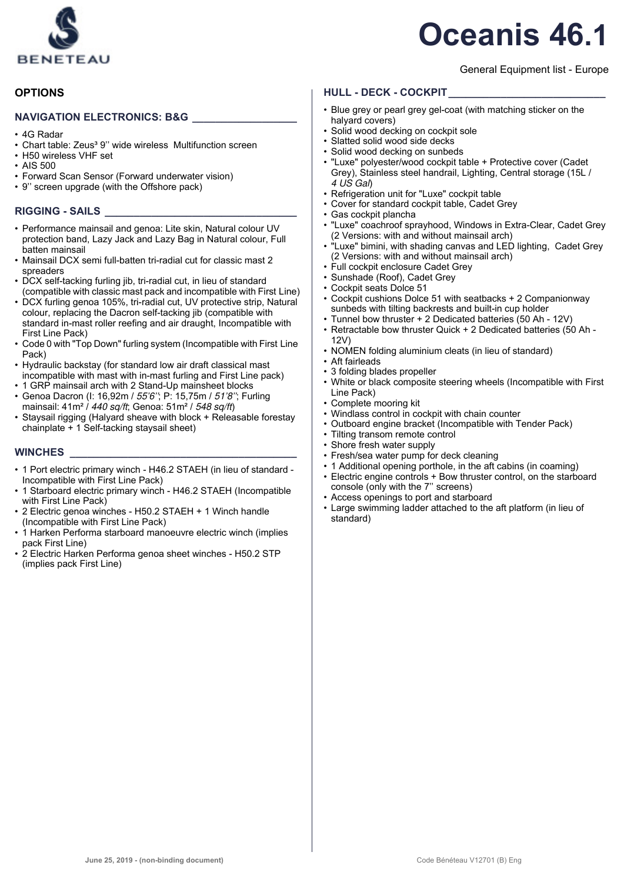

## General Equipment list - Europe

## **HULL - DECK - COCKPIT\_\_\_\_\_\_\_\_\_\_\_\_\_\_\_\_\_\_\_\_\_\_\_\_\_\_\_**

- Blue grey or pearl grey gel-coat (with matching sticker on the halyard covers)
- Solid wood decking on cockpit sole
- Slatted solid wood side decks
- Solid wood decking on sunbeds
- "Luxe" polyester/wood cockpit table + Protective cover (Cadet Grey), Stainless steel handrail, Lighting, Central storage (15L /  $4$  US Gal)
- Refrigeration unit for "Luxe" cockpit table
- Cover for standard cockpit table, Cadet Grey
- Gas cockpit plancha
- "Luxe" coachroof sprayhood, Windows in Extra-Clear, Cadet Grey (2 Versions: with and without mainsail arch)
- "Luxe" bimini, with shading canvas and LED lighting, Cadet Grey (2 Versions: with and without mainsail arch)
- Full cockpit enclosure Cadet Grey
- Sunshade (Roof), Cadet Grey
- Cockpit seats Dolce 51 • Cockpit cushions Dolce 51 with seatbacks + 2 Companionway
- sunbeds with tilting backrests and built-in cup holder
- Tunnel bow thruster + 2 Dedicated batteries (50 Ah 12V) • Retractable bow thruster Quick + 2 Dedicated batteries (50 Ah -
- 12V)
- NOMEN folding aluminium cleats (in lieu of standard)
- Aft fairleads
- 3 folding blades propeller
- White or black composite steering wheels (Incompatible with First Line Pack)
- Complete mooring kit
- Windlass control in cockpit with chain counter
- Outboard engine bracket (Incompatible with Tender Pack)
- Tilting transom remote control
- Shore fresh water supply
- Fresh/sea water pump for deck cleaning
- 1 Additional opening porthole, in the aft cabins (in coaming) • Electric engine controls + Bow thruster control, on the starboard console (only with the 7'' screens)
- Access openings to port and starboard
- Large swimming ladder attached to the aft platform (in lieu of standard)

## **OPTIONS**

#### **NAVIGATION ELECTRONICS: B&G**

- 4G Radar
- Chart table: Zeus<sup>3</sup> 9" wide wireless Multifunction screen
- H50 wireless VHF set
- AIS 500
- Forward Scan Sensor (Forward underwater vision)
- 9'' screen upgrade (with the Offshore pack)

## **RIGGING - SAILS \_\_\_\_\_\_\_\_\_\_\_\_\_\_\_\_\_\_\_\_\_\_\_\_\_\_\_\_\_\_\_\_\_**

- Performance mainsail and genoa: Lite skin, Natural colour UV protection band, Lazy Jack and Lazy Bag in Natural colour, Full batten mainsail
- Mainsail DCX semi full-batten tri-radial cut for classic mast 2 spreaders
- DCX self-tacking furling jib, tri-radial cut, in lieu of standard (compatible with classic mast pack and incompatible with First Line)
- DCX furling genoa 105%, tri-radial cut, UV protective strip, Natural colour, replacing the Dacron self-tacking jib (compatible with standard in-mast roller reefing and air draught, Incompatible with First Line Pack)
- Code 0 with "Top Down" furling system (Incompatible with First Line Pack)
- Hydraulic backstay (for standard low air draft classical mast incompatible with mast with in-mast furling and First Line pack)
- 1 GRP mainsail arch with 2 Stand-Up mainsheet blocks
- Genoa Dacron (I: 16,92m / 55'6''; P: 15,75m / 51'8''; Furling mainsail: 41m<sup>2</sup> / 440 sq/ft; Genoa: 51m<sup>2</sup> / 548 sq/ft)
- Staysail rigging (Halyard sheave with block + Releasable forestay chainplate + 1 Self-tacking staysail sheet)

#### **WINCHES \_\_\_\_\_\_\_\_\_\_\_\_\_\_\_\_\_\_\_\_\_\_\_\_\_\_\_\_\_\_\_\_\_\_\_\_\_\_\_**

- 1 Port electric primary winch H46.2 STAEH (in lieu of standard Incompatible with First Line Pack)
- 1 Starboard electric primary winch H46.2 STAEH (Incompatible with First Line Pack)
- 2 Electric genoa winches H50.2 STAEH + 1 Winch handle (Incompatible with First Line Pack)
- 1 Harken Performa starboard manoeuvre electric winch (implies pack First Line)
- 2 Electric Harken Performa genoa sheet winches H50.2 STP (implies pack First Line)